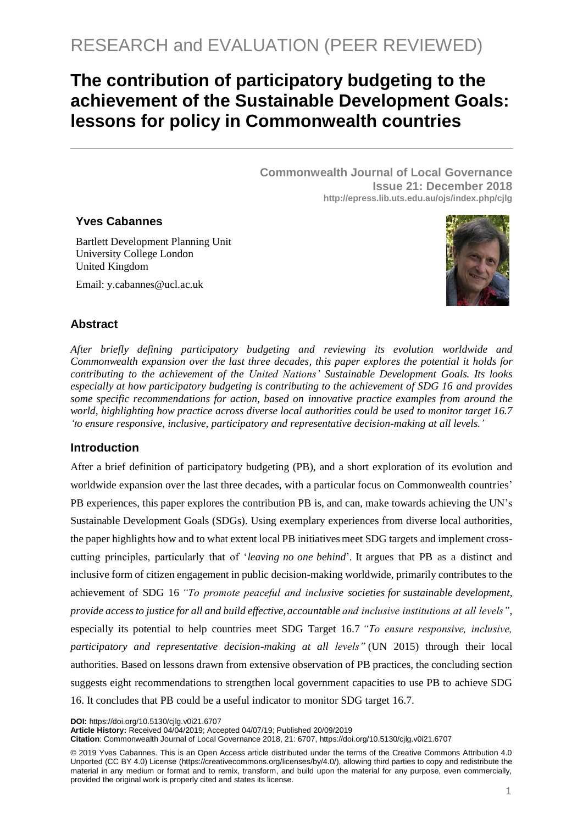# **The contribution of participatory budgeting to the achievement of the Sustainable Development Goals: lessons for policy in Commonwealth countries**

**Commonwealth Journal of Local Governance Issue 21: December 2018 http://epress.lib.uts.edu.au/ojs/index.php/cjlg**

## **Yves Cabannes**

Bartlett Development Planning Unit University College London United Kingdom

Email: y.cabannes@ucl.ac.uk



## **Abstract**

*After briefly defining participatory budgeting and reviewing its evolution worldwide and Commonwealth expansion over the last three decades, this paper explores the potential it holds for contributing to the achievement of the United Nations' Sustainable Development Goals. Its looks especially at how participatory budgeting is contributing to the achievement of SDG 16 and provides some specific recommendations for action, based on innovative practice examples from around the world, highlighting how practice across diverse local authorities could be used to monitor target 16.7 'to ensure responsive, inclusive, participatory and representative decision-making at all levels.'* 

## **Introduction**

After a brief definition of participatory budgeting (PB), and a short exploration of its evolution and worldwide expansion over the last three decades, with a particular focus on Commonwealth countries' PB experiences, this paper explores the contribution PB is, and can, make towards achieving the UN's Sustainable Development Goals (SDGs). Using exemplary experiences from diverse local authorities, the paper highlights how and to what extent local PB initiatives meet SDG targets and implement crosscutting principles, particularly that of '*leaving no one behind*'. It argues that PB as a distinct and inclusive form of citizen engagement in public decision-making worldwide, primarily contributes to the achievement of SDG 16 *"To promote peaceful and inclusive societies for sustainable development, provide access to justice for all and build effective, accountable and inclusive institutions at all levels"*, especially its potential to help countries meet SDG Target 16.7 *"To ensure responsive, inclusive, participatory and representative decision-making at all levels"* (UN 2015) through their local authorities. Based on lessons drawn from extensive observation of PB practices, the concluding section suggests eight recommendations to strengthen local government capacities to use PB to achieve SDG 16. It concludes that PB could be a useful indicator to monitor SDG target 16.7.

**DOI:** https://doi.org/10.5130/cjlg.v0i21.6707

**Article History:** Received 04/04/2019; Accepted 04/07/19; Published 20/09/2019

**Citation**: Commonwealth Journal of Local Governance 2018, 21: 6707, https://doi.org/10.5130/cjlg.v0i21.6707

© 2019 Yves Cabannes. This is an Open Access article distributed under the terms of the Creative Commons Attribution 4.0 Unported (CC BY 4.0) License [\(https://creativecommons.org/licenses/by/4.0/\)](https://creativecommons.org/licenses/by/4.0/), allowing third parties to copy and redistribute the material in any medium or format and to remix, transform, and build upon the material for any purpose, even commercially, provided the original work is properly cited and states its license.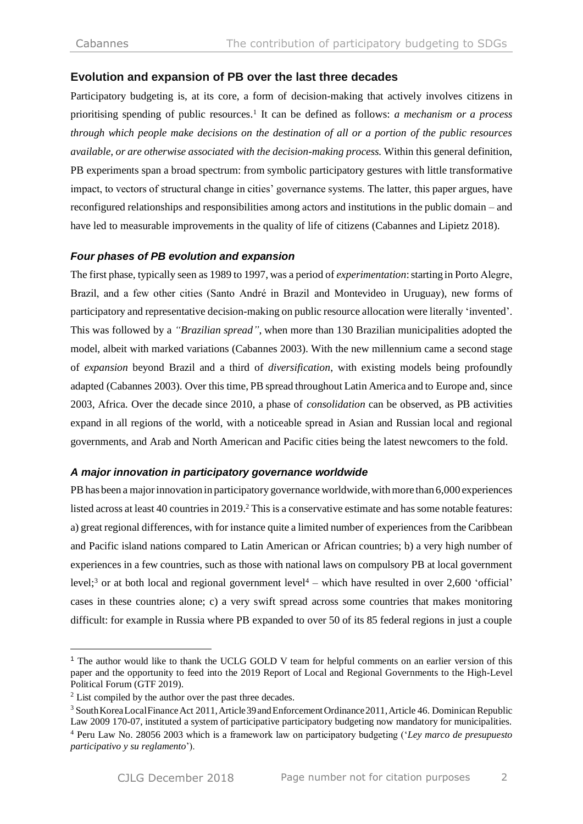## **Evolution and expansion of PB over the last three decades**

Participatory budgeting is, at its core, a form of decision-making that actively involves citizens in prioritising spending of public resources. 1 It can be defined as follows: *a mechanism or a process through which people make decisions on the destination of all or a portion of the public resources available, or are otherwise associated with the decision-making process.* Within this general definition, PB experiments span a broad spectrum: from symbolic participatory gestures with little transformative impact, to vectors of structural change in cities' governance systems. The latter, this paper argues, have reconfigured relationships and responsibilities among actors and institutions in the public domain – and have led to measurable improvements in the quality of life of citizens (Cabannes and Lipietz 2018).

## *Four phases of PB evolution and expansion*

The first phase, typically seen as 1989 to 1997, was a period of *experimentation*:starting in Porto Alegre, Brazil, and a few other cities (Santo André in Brazil and Montevideo in Uruguay), new forms of participatory and representative decision-making on public resource allocation were literally 'invented'. This was followed by a *"Brazilian spread"*, when more than 130 Brazilian municipalities adopted the model, albeit with marked variations (Cabannes 2003). With the new millennium came a second stage of *expansion* beyond Brazil and a third of *diversification*, with existing models being profoundly adapted (Cabannes 2003). Over this time, PB spread throughout Latin America and to Europe and, since 2003, Africa. Over the decade since 2010, a phase of *consolidation* can be observed, as PB activities expand in all regions of the world, with a noticeable spread in Asian and Russian local and regional governments, and Arab and North American and Pacific cities being the latest newcomers to the fold.

## *A major innovation in participatory governance worldwide*

PB has been a major innovation in participatory governance worldwide, with more than 6,000 experiences listed across at least 40 countries in 2019. <sup>2</sup> This is a conservative estimate and has some notable features: a) great regional differences, with for instance quite a limited number of experiences from the Caribbean and Pacific island nations compared to Latin American or African countries; b) a very high number of experiences in a few countries, such as those with national laws on compulsory PB at local government level;<sup>3</sup> or at both local and regional government level<sup>4</sup> – which have resulted in over 2,600 'official' cases in these countries alone; c) a very swift spread across some countries that makes monitoring difficult: for example in Russia where PB expanded to over 50 of its 85 federal regions in just a couple

<sup>&</sup>lt;sup>1</sup> The author would like to thank the UCLG GOLD V team for helpful comments on an earlier version of this paper and the opportunity to feed into the 2019 Report of Local and Regional Governments to the High-Level Political Forum (GTF 2019).

<sup>2</sup> List compiled by the author over the past three decades.

<sup>&</sup>lt;sup>3</sup> South Korea Local Finance Act 2011, Article 39 and Enforcement Ordinance 2011, Article 46. Dominican Republic Law 2009 170-07, instituted a system of participative participatory budgeting now mandatory for municipalities. <sup>4</sup> Peru Law No. 28056 2003 which is a framework law on participatory budgeting ('*Ley marco de presupuesto participativo y su reglamento*').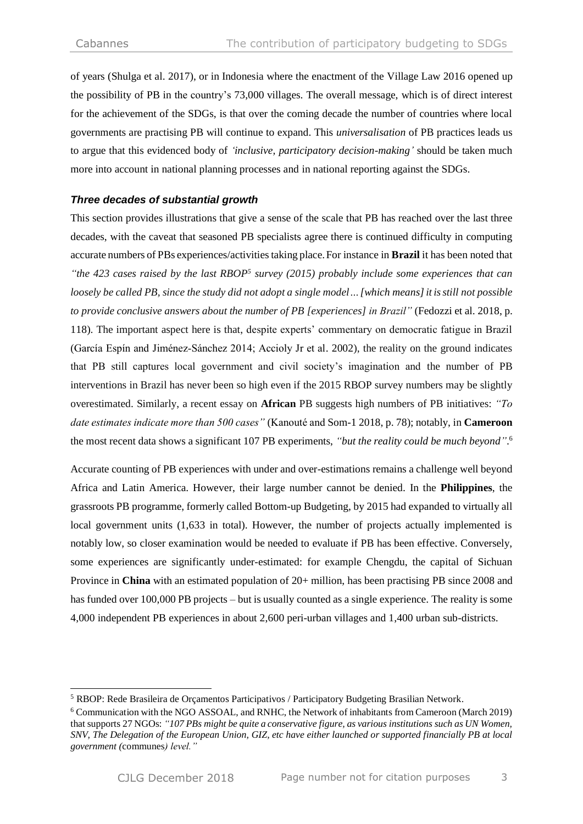of years (Shulga et al. 2017), or in Indonesia where the enactment of the Village Law 2016 opened up the possibility of PB in the country's 73,000 villages. The overall message, which is of direct interest for the achievement of the SDGs, is that over the coming decade the number of countries where local governments are practising PB will continue to expand. This *universalisation* of PB practices leads us to argue that this evidenced body of *'inclusive, participatory decision-making'* should be taken much more into account in national planning processes and in national reporting against the SDGs.

## *Three decades of substantial growth*

This section provides illustrations that give a sense of the scale that PB has reached over the last three decades, with the caveat that seasoned PB specialists agree there is continued difficulty in computing accurate numbers of PBs experiences/activitiestaking place.For instance in **Brazil** it has been noted that *"the 423 cases raised by the last RBOP<sup>5</sup> survey (2015) probably include some experiences that can loosely be called PB, since the study did not adopt a single model…[which means]it isstill not possible to provide conclusive answers about the number of PB [experiences] in Brazil"* (Fedozzi et al. 2018, p. 118). The important aspect here is that, despite experts' commentary on democratic fatigue in Brazil (García Espín and Jiménez-Sánchez 2014; Accioly Jr et al. 2002), the reality on the ground indicates that PB still captures local government and civil society's imagination and the number of PB interventions in Brazil has never been so high even if the 2015 RBOP survey numbers may be slightly overestimated. Similarly, a recent essay on **African** PB suggests high numbers of PB initiatives: *"To date estimates indicate more than 500 cases"* (Kanouté and Som-1 2018, p. 78); notably, in **Cameroon** the most recent data shows a significant 107 PB experiments, *"but the reality could be much beyond"*. 6

Accurate counting of PB experiences with under and over-estimations remains a challenge well beyond Africa and Latin America. However, their large number cannot be denied. In the **Philippines**, the grassroots PB programme, formerly called Bottom-up Budgeting, by 2015 had expanded to virtually all local government units (1,633 in total). However, the number of projects actually implemented is notably low, so closer examination would be needed to evaluate if PB has been effective. Conversely, some experiences are significantly under-estimated: for example Chengdu, the capital of Sichuan Province in **China** with an estimated population of 20+ million, has been practising PB since 2008 and has funded over 100,000 PB projects – but is usually counted as a single experience. The reality is some 4,000 independent PB experiences in about 2,600 peri-urban villages and 1,400 urban sub-districts.

 $\overline{a}$ 

<sup>5</sup> RBOP: Rede Brasileira de Orçamentos Participativos / Participatory Budgeting Brasilian Network.

<sup>6</sup> Communication with the NGO ASSOAL, and RNHC, the Network of inhabitants from Cameroon (March 2019) that supports 27 NGOs: *"107 PBs might be quite a conservative figure, as various institutions such as UN Women, SNV, The Delegation of the European Union, GIZ, etc have either launched or supported financially PB at local government (*communes*) level."*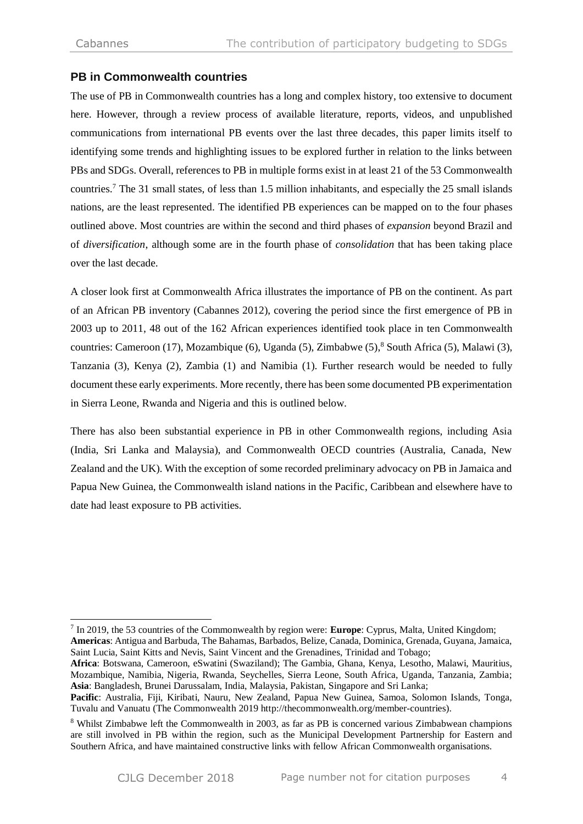-

## **PB in Commonwealth countries**

The use of PB in Commonwealth countries has a long and complex history, too extensive to document here. However, through a review process of available literature, reports, videos, and unpublished communications from international PB events over the last three decades, this paper limits itself to identifying some trends and highlighting issues to be explored further in relation to the links between PBs and SDGs. Overall, references to PB in multiple forms exist in at least 21 of the 53 Commonwealth countries.<sup>7</sup> The 31 small states, of less than 1.5 million inhabitants, and especially the 25 small islands nations, are the least represented. The identified PB experiences can be mapped on to the four phases outlined above. Most countries are within the second and third phases of *expansion* beyond Brazil and of *diversification*, although some are in the fourth phase of *consolidation* that has been taking place over the last decade.

A closer look first at Commonwealth Africa illustrates the importance of PB on the continent. As part of an African PB inventory (Cabannes 2012), covering the period since the first emergence of PB in 2003 up to 2011, 48 out of the 162 African experiences identified took place in ten Commonwealth countries: Cameroon (17), Mozambique (6), Uganda (5), Zimbabwe (5), <sup>8</sup> South Africa (5), Malawi (3), Tanzania (3), Kenya (2), Zambia (1) and Namibia (1). Further research would be needed to fully document these early experiments. More recently, there has been some documented PB experimentation in Sierra Leone, Rwanda and Nigeria and this is outlined below.

There has also been substantial experience in PB in other Commonwealth regions, including Asia (India, Sri Lanka and Malaysia), and Commonwealth OECD countries (Australia, Canada, New Zealand and the UK). With the exception of some recorded preliminary advocacy on PB in Jamaica and Papua New Guinea, the Commonwealth island nations in the Pacific, Caribbean and elsewhere have to date had least exposure to PB activities.

<sup>7</sup> In 2019, the 53 countries of the Commonwealth by region were: **Europe**: Cyprus, Malta, United Kingdom;

**Americas**: Antigua and Barbuda, The Bahamas, Barbados, Belize, Canada, Dominica, Grenada, Guyana, Jamaica, Saint Lucia, Saint Kitts and Nevis, Saint Vincent and the Grenadines, Trinidad and Tobago;

**Africa**: Botswana, Cameroon, eSwatini (Swaziland); The Gambia, Ghana, Kenya, Lesotho, Malawi, Mauritius, Mozambique, Namibia, Nigeria, Rwanda, Seychelles, Sierra Leone, South Africa, Uganda, Tanzania, Zambia; **Asia**: Bangladesh, Brunei Darussalam, India, Malaysia, Pakistan, Singapore and Sri Lanka;

**Pacific**: Australia, Fiji, Kiribati, Nauru, New Zealand, Papua New Guinea, Samoa, Solomon Islands, Tonga, Tuvalu and Vanuatu (The Commonwealth 2019 http://thecommonwealth.org/member-countries).

<sup>8</sup> Whilst Zimbabwe left the Commonwealth in 2003, as far as PB is concerned various Zimbabwean champions are still involved in PB within the region, such as the Municipal Development Partnership for Eastern and Southern Africa, and have maintained constructive links with fellow African Commonwealth organisations.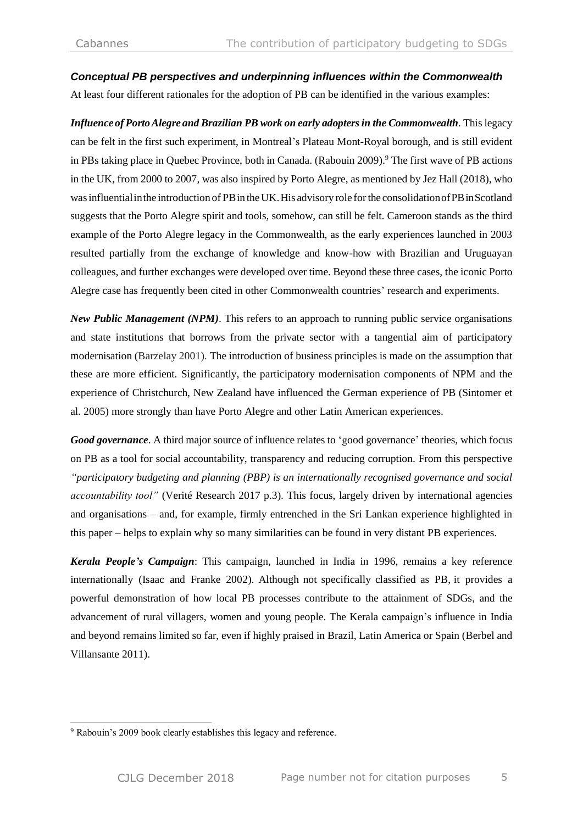## *Conceptual PB perspectives and underpinning influences within the Commonwealth*

At least four different rationales for the adoption of PB can be identified in the various examples:

*Influence of Porto Alegre and Brazilian PB work on early adopters in the Commonwealth. This legacy* can be felt in the first such experiment, in Montreal's Plateau Mont-Royal borough, and is still evident in PBs taking place in Quebec Province, both in Canada. (Rabouin 2009). <sup>9</sup> The first wave of PB actions in the UK, from 2000 to 2007, was also inspired by Porto Alegre, as mentioned by Jez Hall (2018), who was influential in the introduction of PB in the UK. His advisory role for the consolidation of PB in Scotland suggests that the Porto Alegre spirit and tools, somehow, can still be felt. Cameroon stands as the third example of the Porto Alegre legacy in the Commonwealth, as the early experiences launched in 2003 resulted partially from the exchange of knowledge and know-how with Brazilian and Uruguayan colleagues, and further exchanges were developed over time. Beyond these three cases, the iconic Porto Alegre case has frequently been cited in other Commonwealth countries' research and experiments.

*New Public Management (NPM)*. This refers to an approach to running public service organisations and state institutions that borrows from the private sector with a tangential aim of participatory modernisation (Barzelay 2001). The introduction of business principles is made on the assumption that these are more efficient. Significantly, the participatory modernisation components of NPM and the experience of Christchurch, New Zealand have influenced the German experience of PB (Sintomer et al. 2005) more strongly than have Porto Alegre and other Latin American experiences.

*Good governance*. A third major source of influence relates to 'good governance' theories, which focus on PB as a tool for social accountability, transparency and reducing corruption. From this perspective *"participatory budgeting and planning (PBP) is an internationally recognised governance and social accountability tool"* (Verité Research 2017 p.3). This focus, largely driven by international agencies and organisations – and, for example, firmly entrenched in the Sri Lankan experience highlighted in this paper – helps to explain why so many similarities can be found in very distant PB experiences.

*Kerala People's Campaign*: This campaign, launched in India in 1996, remains a key reference internationally (Isaac and Franke 2002). Although not specifically classified as PB, it provides a powerful demonstration of how local PB processes contribute to the attainment of SDGs, and the advancement of rural villagers, women and young people. The Kerala campaign's influence in India and beyond remains limited so far, even if highly praised in Brazil, Latin America or Spain (Berbel and Villansante 2011).

<sup>&</sup>lt;sup>9</sup> Rabouin's 2009 book clearly establishes this legacy and reference.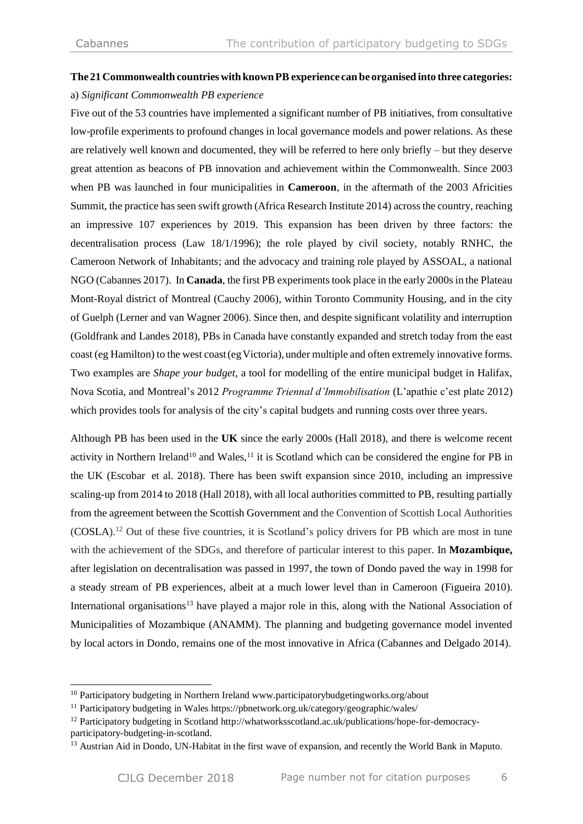## **The 21Commonwealth countries with knownPB experience can be organised into three categories:** a) *Significant Commonwealth PB experience*

Five out of the 53 countries have implemented a significant number of PB initiatives, from consultative low-profile experiments to profound changes in local governance models and power relations. As these are relatively well known and documented, they will be referred to here only briefly – but they deserve great attention as beacons of PB innovation and achievement within the Commonwealth. Since 2003 when PB was launched in four municipalities in **Cameroon**, in the aftermath of the 2003 Africities Summit, the practice has seen swift growth (Africa Research Institute 2014) across the country, reaching an impressive 107 experiences by 2019. This expansion has been driven by three factors: the decentralisation process (Law 18/1/1996); the role played by civil society, notably RNHC, the Cameroon Network of Inhabitants; and the advocacy and training role played by ASSOAL, a national NGO (Cabannes 2017). In **Canada**, the first PB experiments took place in the early 2000s in the Plateau Mont-Royal district of Montreal (Cauchy 2006), within Toronto Community Housing, and in the city of Guelph (Lerner and van Wagner 2006). Since then, and despite significant volatility and interruption (Goldfrank and Landes 2018), PBs in Canada have constantly expanded and stretch today from the east coast (eg Hamilton) to the west coast (eg Victoria), under multiple and often extremely innovative forms. Two examples are *Shape your budget*, a tool for modelling of the entire municipal budget in Halifax, Nova Scotia, and Montreal's 2012 *Programme Triennal d'Immobilisation* (L'apathie c'est plate 2012) which provides tools for analysis of the city's capital budgets and running costs over three years.

Although PB has been used in the **UK** since the early 2000s (Hall 2018), and there is welcome recent activity in Northern Ireland<sup>10</sup> and Wales,<sup>11</sup> it is Scotland which can be considered the engine for PB in the UK (Escobar et al. 2018). There has been swift expansion since 2010, including an impressive scaling-up from 2014 to 2018 (Hall 2018), with all local authorities committed to PB, resulting partially from the agreement between the Scottish Government and the Convention of Scottish Local Authorities (COSLA).<sup>12</sup> Out of these five countries, it is Scotland's policy drivers for PB which are most in tune with the achievement of the SDGs, and therefore of particular interest to this paper. In **Mozambique,**  after legislation on decentralisation was passed in 1997, the town of Dondo paved the way in 1998 for a steady stream of PB experiences, albeit at a much lower level than in Cameroon (Figueira 2010). International organisations<sup>13</sup> have played a major role in this, along with the National Association of Municipalities of Mozambique (ANAMM). The planning and budgeting governance model invented by local actors in Dondo, remains one of the most innovative in Africa (Cabannes and Delgado 2014).

<sup>&</sup>lt;sup>10</sup> Participatory budgeting in Northern Ireland www.participatorybudgetingworks.org/about

<sup>&</sup>lt;sup>11</sup> Participatory budgeting in Wales https://pbnetwork.org.uk/category/geographic/wales/

<sup>12</sup> Participatory budgeting in Scotland http://whatworksscotland.ac.uk/publications/hope-for-democracyparticipatory-budgeting-in-scotland.

<sup>&</sup>lt;sup>13</sup> Austrian Aid in Dondo, UN-Habitat in the first wave of expansion, and recently the World Bank in Maputo.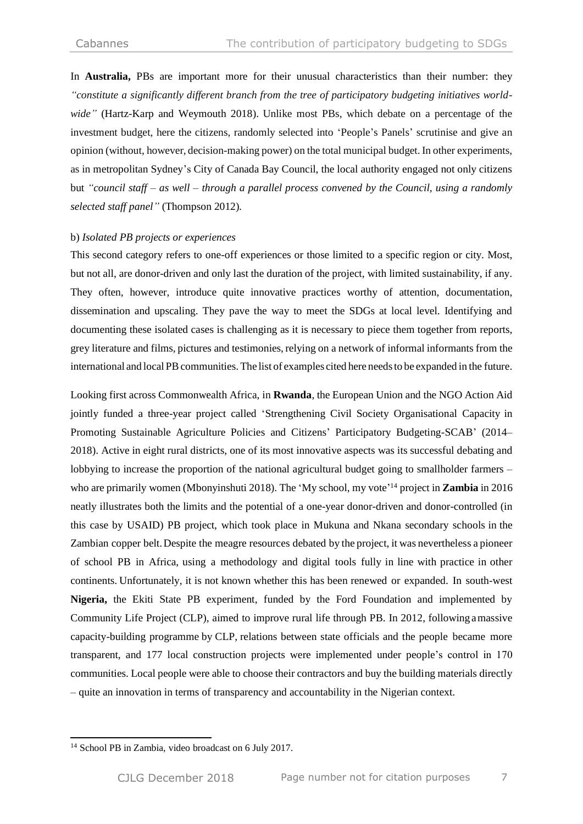In **Australia,** PBs are important more for their unusual characteristics than their number: they *"constitute a significantly different branch from the tree of participatory budgeting initiatives worldwide"* (Hartz-Karp and Weymouth 2018). Unlike most PBs, which debate on a percentage of the investment budget, here the citizens, randomly selected into 'People's Panels' scrutinise and give an opinion (without, however, decision-making power) on the total municipal budget. In other experiments, as in metropolitan Sydney's City of Canada Bay Council, the local authority engaged not only citizens but *"council staff – as well – through a parallel process convened by the Council, using a randomly selected staff panel"* (Thompson 2012)*.* 

#### b) *Isolated PB projects or experiences*

This second category refers to one-off experiences or those limited to a specific region or city. Most, but not all, are donor-driven and only last the duration of the project, with limited sustainability, if any. They often, however, introduce quite innovative practices worthy of attention, documentation, dissemination and upscaling. They pave the way to meet the SDGs at local level. Identifying and documenting these isolated cases is challenging as it is necessary to piece them together from reports, grey literature and films, pictures and testimonies, relying on a network of informal informants from the international and local PB communities. The list of examples cited here needs to be expanded in the future.

Looking first across Commonwealth Africa, in **Rwanda**, the European Union and the NGO Action Aid jointly funded a three-year project called 'Strengthening Civil Society Organisational Capacity in Promoting Sustainable Agriculture Policies and Citizens' Participatory Budgeting-SCAB' (2014– 2018). Active in eight rural districts, one of its most innovative aspects was its successful debating and lobbying to increase the proportion of the national agricultural budget going to smallholder farmers – who are primarily women (Mbonyinshuti 2018). The 'My school, my vote' <sup>14</sup> project in **Zambia** in 2016 neatly illustrates both the limits and the potential of a one-year donor-driven and donor-controlled (in this case by USAID) PB project, which took place in Mukuna and Nkana secondary schools in the Zambian copper belt.Despite the meagre resources debated by the project, it was nevertheless a pioneer of school PB in Africa, using a methodology and digital tools fully in line with practice in other continents. Unfortunately, it is not known whether this has been renewed or expanded. In south-west **Nigeria,** the Ekiti State PB experiment, funded by the Ford Foundation and implemented by Community Life Project (CLP), aimed to improve rural life through PB. In 2012, following amassive capacity-building programme by CLP, relations between state officials and the people became more transparent, and 177 local construction projects were implemented under people's control in 170 communities. Local people were able to choose their contractors and buy the building materials directly – quite an innovation in terms of transparency and accountability in the Nigerian context.

<sup>&</sup>lt;sup>14</sup> School PB in Zambia, video broadcast on 6 July 2017.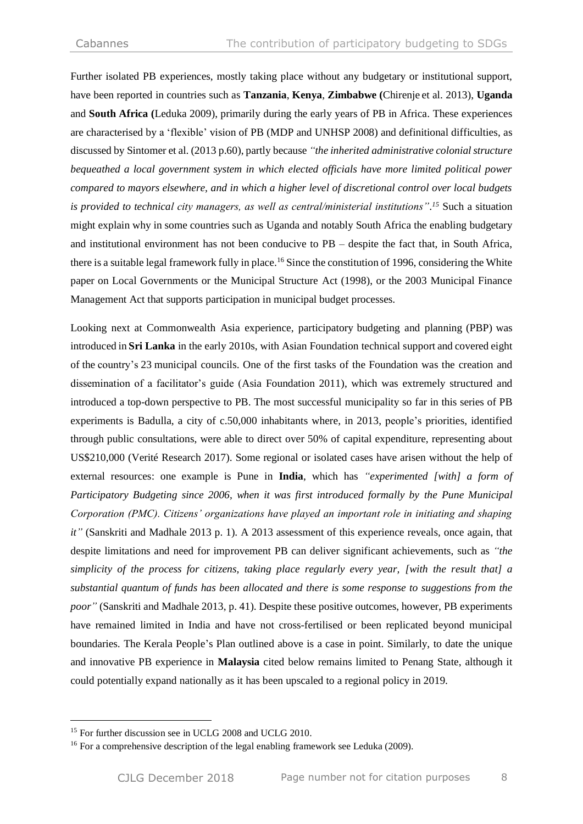Further isolated PB experiences, mostly taking place without any budgetary or institutional support, have been reported in countries such as **Tanzania**, **Kenya**, **Zimbabwe (**Chirenje et al. 2013), **Uganda** and **South Africa (**Leduka 2009), primarily during the early years of PB in Africa. These experiences are characterised by a 'flexible' vision of PB (MDP and UNHSP 2008) and definitional difficulties, as discussed by Sintomer et al. (2013 p.60), partly because *"the inherited administrative colonial structure bequeathed a local government system in which elected officials have more limited political power compared to mayors elsewhere, and in which a higher level of discretional control over local budgets is provided to technical city managers, as well as central/ministerial institutions". <sup>15</sup>* Such a situation might explain why in some countries such as Uganda and notably South Africa the enabling budgetary and institutional environment has not been conducive to PB – despite the fact that, in South Africa, there is a suitable legal framework fully in place.<sup>16</sup> Since the constitution of 1996, considering the White paper on Local Governments or the Municipal Structure Act (1998), or the 2003 Municipal Finance Management Act that supports participation in municipal budget processes.

Looking next at Commonwealth Asia experience, participatory budgeting and planning (PBP) was introduced in **Sri Lanka** in the early 2010s, with Asian Foundation technical support and covered eight of the country's 23 municipal councils. One of the first tasks of the Foundation was the creation and dissemination of a facilitator's guide (Asia Foundation 2011), which was extremely structured and introduced a top-down perspective to PB. The most successful municipality so far in this series of PB experiments is Badulla, a city of c.50,000 inhabitants where, in 2013, people's priorities, identified through public consultations, were able to direct over 50% of capital expenditure, representing about US\$210,000 (Verité Research 2017). Some regional or isolated cases have arisen without the help of external resources: one example is Pune in **India**, which has *"experimented [with] a form of Participatory Budgeting since 2006, when it was first introduced formally by the Pune Municipal Corporation (PMC). Citizens' organizations have played an important role in initiating and shaping it"* (Sanskriti and Madhale 2013 p. 1). A 2013 assessment of this experience reveals, once again, that despite limitations and need for improvement PB can deliver significant achievements, such as *"the simplicity of the process for citizens, taking place regularly every year, [with the result that] a substantial quantum of funds has been allocated and there is some response to suggestions from the poor"* (Sanskriti and Madhale 2013, p. 41). Despite these positive outcomes, however, PB experiments have remained limited in India and have not cross-fertilised or been replicated beyond municipal boundaries. The Kerala People's Plan outlined above is a case in point. Similarly, to date the unique and innovative PB experience in **Malaysia** cited below remains limited to Penang State, although it could potentially expand nationally as it has been upscaled to a regional policy in 2019.

<sup>&</sup>lt;sup>15</sup> For further discussion see in UCLG 2008 and UCLG 2010.

<sup>&</sup>lt;sup>16</sup> For a comprehensive description of the legal enabling framework see Leduka (2009).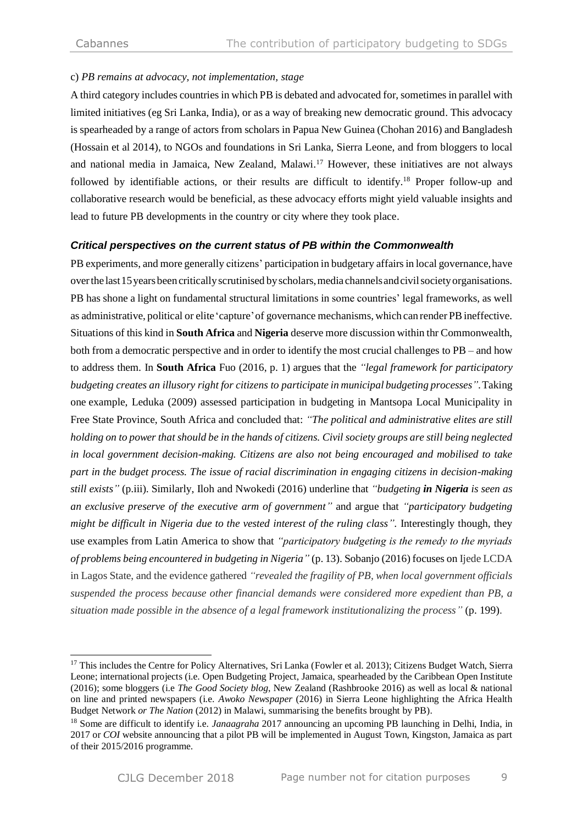## c) *PB remains at advocacy, not implementation, stage*

A third category includes countries in which PB is debated and advocated for,sometimes in parallel with limited initiatives (eg Sri Lanka, India), or as a way of breaking new democratic ground. This advocacy is spearheaded by a range of actors from scholars in Papua New Guinea (Chohan 2016) and Bangladesh (Hossain et al 2014), to NGOs and foundations in Sri Lanka, Sierra Leone, and from bloggers to local and national media in Jamaica, New Zealand, Malawi. <sup>17</sup> However, these initiatives are not always followed by identifiable actions, or their results are difficult to identify.<sup>18</sup> Proper follow-up and collaborative research would be beneficial, as these advocacy efforts might yield valuable insights and lead to future PB developments in the country or city where they took place.

## *Critical perspectives on the current status of PB within the Commonwealth*

PB experiments, and more generally citizens' participation in budgetary affairs in local governance, have overthe last15yearsbeencriticallyscrutinised byscholars,media channelsandcivilsocietyorganisations. PB has shone a light on fundamental structural limitations in some countries' legal frameworks, as well as administrative, political or elite 'capture' of governance mechanisms, which can render PB ineffective. Situations of this kind in **South Africa** and **Nigeria** deserve more discussion within thr Commonwealth, both from a democratic perspective and in order to identify the most crucial challenges to PB – and how to address them. In **South Africa** Fuo (2016, p. 1) argues that the *"legal framework for participatory budgeting creates an illusory right for citizens to participate in municipal budgeting processes".*Taking one example, Leduka (2009) assessed participation in budgeting in Mantsopa Local Municipality in Free State Province, South Africa and concluded that: *"The political and administrative elites are still holding on to power that should be in the hands of citizens. Civil society groups are still being neglected in local government decision-making. Citizens are also not being encouraged and mobilised to take part in the budget process. The issue of racial discrimination in engaging citizens in decision-making still exists"* (p.iii). Similarly, Iloh and Nwokedi (2016) underline that *"budgeting in Nigeria is seen as an exclusive preserve of the executive arm of government"* and argue that *"participatory budgeting might be difficult in Nigeria due to the vested interest of the ruling class".* Interestingly though, they use examples from Latin America to show that *"participatory budgeting is the remedy to the myriads of problems being encountered in budgeting in Nigeria"* (p. 13). Sobanjo (2016) focuses on Ijede LCDA in Lagos State, and the evidence gathered *"revealed the fragility of PB, when local government officials suspended the process because other financial demands were considered more expedient than PB, a situation made possible in the absence of a legal framework institutionalizing the process"* (p. 199).

<sup>&</sup>lt;sup>17</sup> This includes the Centre for Policy Alternatives, Sri Lanka (Fowler et al. 2013); Citizens Budget Watch, Sierra Leone; international projects (i.e. Open Budgeting Project, Jamaica, spearheaded by the Caribbean Open Institute (2016); some bloggers (i.e *The Good Society blog*, New Zealand (Rashbrooke 2016) as well as local & national on line and printed newspapers (i.e. *Awoko Newspaper* (2016) in Sierra Leone highlighting the Africa Health Budget Network *or The Nation* (2012) in Malawi, summarising the benefits brought by PB).

<sup>18</sup> Some are difficult to identify i.e. *Janaagraha* 2017 announcing an upcoming PB launching in Delhi, India, in 2017 or *COI* website announcing that a pilot PB will be implemented in August Town, Kingston, Jamaica as part of their 2015/2016 programme.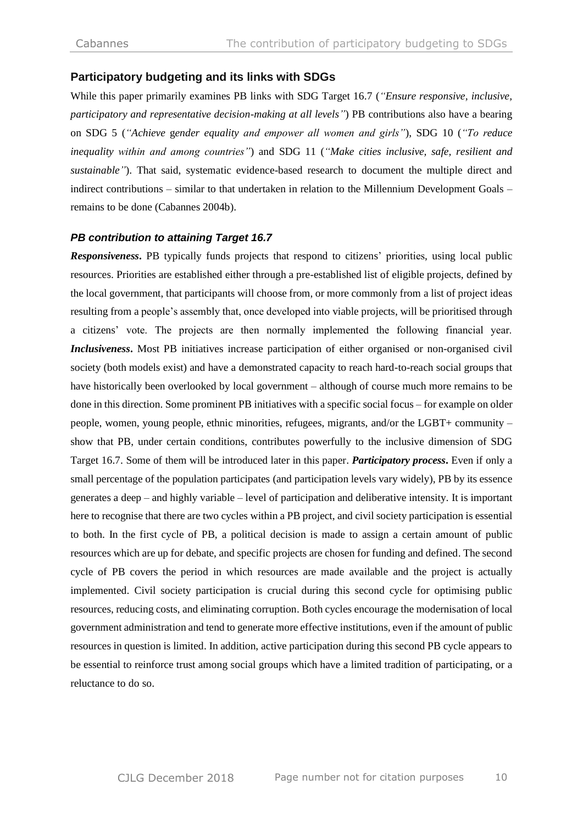#### **Participatory budgeting and its links with SDGs**

While this paper primarily examines PB links with SDG Target 16.7 (*"Ensure responsive, inclusive, participatory and representative decision-making at all levels"*) PB contributions also have a bearing on SDG 5 (*"Achieve* g*ender equality and empower all women and girls"*), SDG 10 (*"To reduce inequality within and among countries"*) and SDG 11 (*"Make cities inclusive, safe, resilient and sustainable"*). That said, systematic evidence-based research to document the multiple direct and indirect contributions – similar to that undertaken in relation to the Millennium Development Goals – remains to be done (Cabannes 2004b).

#### *PB contribution to attaining Target 16.7*

*Responsiveness***.** PB typically funds projects that respond to citizens' priorities, using local public resources. Priorities are established either through a pre-established list of eligible projects, defined by the local government, that participants will choose from, or more commonly from a list of project ideas resulting from a people's assembly that, once developed into viable projects, will be prioritised through a citizens' vote. The projects are then normally implemented the following financial year. *Inclusiveness***.** Most PB initiatives increase participation of either organised or non-organised civil society (both models exist) and have a demonstrated capacity to reach hard-to-reach social groups that have historically been overlooked by local government – although of course much more remains to be done in this direction. Some prominent PB initiatives with a specific social focus – for example on older people, women, young people, ethnic minorities, refugees, migrants, and/or the LGBT+ community – show that PB, under certain conditions, contributes powerfully to the inclusive dimension of SDG Target 16.7. Some of them will be introduced later in this paper. *Participatory process***.** Even if only a small percentage of the population participates (and participation levels vary widely), PB by its essence generates a deep – and highly variable – level of participation and deliberative intensity. It is important here to recognise that there are two cycles within a PB project, and civil society participation is essential to both. In the first cycle of PB, a political decision is made to assign a certain amount of public resources which are up for debate, and specific projects are chosen for funding and defined. The second cycle of PB covers the period in which resources are made available and the project is actually implemented. Civil society participation is crucial during this second cycle for optimising public resources, reducing costs, and eliminating corruption. Both cycles encourage the modernisation of local government administration and tend to generate more effective institutions, even if the amount of public resources in question is limited. In addition, active participation during this second PB cycle appears to be essential to reinforce trust among social groups which have a limited tradition of participating, or a reluctance to do so.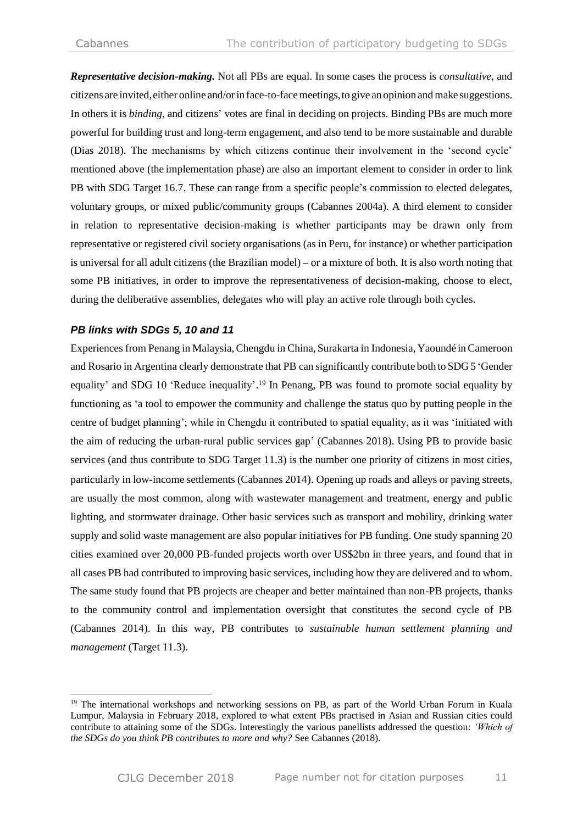*Representative decision-making.* Not all PBs are equal. In some cases the process is *consultative*, and citizens are invited,either online and/orin face-to-facemeetings,to give an opinion and make suggestions. In others it is *binding*, and citizens' votes are final in deciding on projects. Binding PBs are much more powerful for building trust and long-term engagement, and also tend to be more sustainable and durable (Dias 2018). The mechanisms by which citizens continue their involvement in the 'second cycle' mentioned above (the implementation phase) are also an important element to consider in order to link PB with SDG Target 16.7. These can range from a specific people's commission to elected delegates, voluntary groups, or mixed public/community groups (Cabannes 2004a). A third element to consider in relation to representative decision-making is whether participants may be drawn only from representative or registered civil society organisations (as in Peru, for instance) or whether participation is universal for all adult citizens (the Brazilian model) – or a mixture of both. It is also worth noting that some PB initiatives, in order to improve the representativeness of decision-making, choose to elect, during the deliberative assemblies, delegates who will play an active role through both cycles.

## *PB links with SDGs 5, 10 and 11*

-

Experiences from Penang in Malaysia,Chengdu in China, Surakarta in Indonesia, Yaoundé inCameroon and Rosario in Argentina clearly demonstrate that PB can significantly contribute both to SDG 5 'Gender equality' and SDG 10 'Reduce inequality'.<sup>19</sup> In Penang, PB was found to promote social equality by functioning as 'a tool to empower the community and challenge the status quo by putting people in the centre of budget planning'; while in Chengdu it contributed to spatial equality, as it was 'initiated with the aim of reducing the urban-rural public services gap' (Cabannes 2018). Using PB to provide basic services (and thus contribute to SDG Target 11.3) is the number one priority of citizens in most cities, particularly in low-income settlements (Cabannes 2014). Opening up roads and alleys or paving streets, are usually the most common, along with wastewater management and treatment, energy and public lighting, and stormwater drainage. Other basic services such as transport and mobility, drinking water supply and solid waste management are also popular initiatives for PB funding. One study spanning 20 cities examined over 20,000 PB-funded projects worth over US\$2bn in three years, and found that in all cases PB had contributed to improving basic services, including how they are delivered and to whom. The same study found that PB projects are cheaper and better maintained than non-PB projects, thanks to the community control and implementation oversight that constitutes the second cycle of PB (Cabannes 2014). In this way, PB contributes to *sustainable human settlement planning and management* (Target 11.3).

<sup>&</sup>lt;sup>19</sup> The international workshops and networking sessions on PB, as part of the World Urban Forum in Kuala Lumpur, Malaysia in February 2018, explored to what extent PBs practised in Asian and Russian cities could contribute to attaining some of the SDGs. Interestingly the various panellists addressed the question: *'Which of the SDGs do you think PB contributes to more and why?* See Cabannes (2018).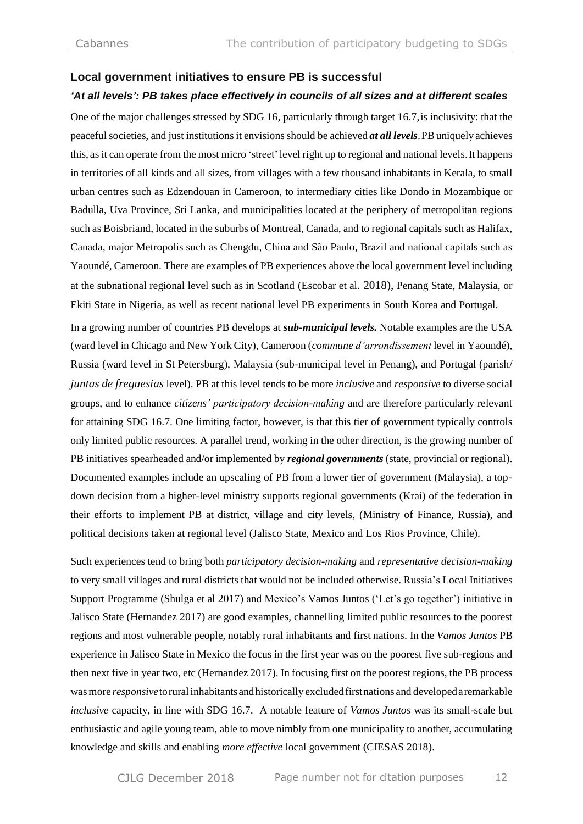#### **Local government initiatives to ensure PB is successful**

#### *'At all levels': PB takes place effectively in councils of all sizes and at different scales*

One of the major challenges stressed by SDG 16, particularly through target 16.7,is inclusivity: that the peaceful societies, and just institutions it envisions should be achieved *at all levels*.PBuniquely achieves this, as it can operate from the most micro 'street' level right up to regional and national levels. It happens in territories of all kinds and all sizes, from villages with a few thousand inhabitants in Kerala, to small urban centres such as Edzendouan in Cameroon, to intermediary cities like Dondo in Mozambique or Badulla, Uva Province, Sri Lanka, and municipalities located at the periphery of metropolitan regions such as Boisbriand, located in the suburbs of Montreal, Canada, and to regional capitals such as Halifax, Canada, major Metropolis such as Chengdu, China and São Paulo, Brazil and national capitals such as Yaoundé, Cameroon. There are examples of PB experiences above the local government level including at the subnational regional level such as in Scotland (Escobar et al. 2018), Penang State, Malaysia, or Ekiti State in Nigeria, as well as recent national level PB experiments in South Korea and Portugal.

In a growing number of countries PB develops at *sub-municipal levels.* Notable examples are the USA (ward level in Chicago and New York City), Cameroon (*commune d'arrondissement* level in Yaoundé), Russia (ward level in St Petersburg), Malaysia (sub-municipal level in Penang), and Portugal (parish/ *juntas de freguesias* level). PB at this level tends to be more *inclusive* and *responsive* to diverse social groups, and to enhance *citizens' participatory decision-making* and are therefore particularly relevant for attaining SDG 16.7. One limiting factor, however, is that this tier of government typically controls only limited public resources. A parallel trend, working in the other direction, is the growing number of PB initiatives spearheaded and/or implemented by *regional governments* (state, provincial or regional). Documented examples include an upscaling of PB from a lower tier of government (Malaysia), a topdown decision from a higher-level ministry supports regional governments (Krai) of the federation in their efforts to implement PB at district, village and city levels, (Ministry of Finance, Russia), and political decisions taken at regional level (Jalisco State, Mexico and Los Rios Province, Chile).

Such experiences tend to bring both *participatory decision-making* and *representative decision-making*  to very small villages and rural districts that would not be included otherwise. Russia's Local Initiatives Support Programme (Shulga et al 2017) and Mexico's Vamos Juntos ('Let's go together') initiative in Jalisco State (Hernandez 2017) are good examples, channelling limited public resources to the poorest regions and most vulnerable people, notably rural inhabitants and first nations. In the *Vamos Juntos* PB experience in Jalisco State in Mexico the focus in the first year was on the poorest five sub-regions and then next five in year two, etc (Hernandez 2017). In focusing first on the poorest regions, the PB process wasmore *responsive*torural inhabitantsandhistorically excludedfirstnations and developedaremarkable *inclusive* capacity, in line with SDG 16.7. A notable feature of *Vamos Juntos* was its small-scale but enthusiastic and agile young team, able to move nimbly from one municipality to another, accumulating knowledge and skills and enabling *more effective* local government (CIESAS 2018).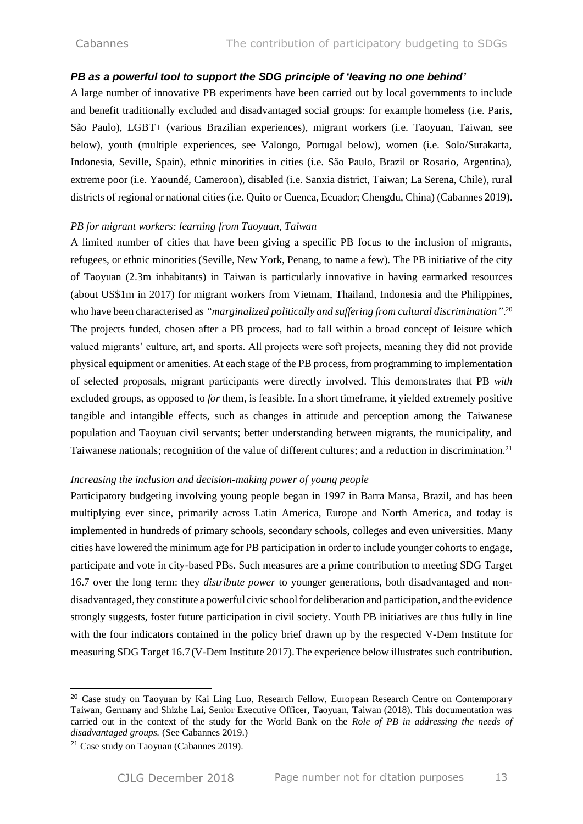#### *PB as a powerful tool to support the SDG principle of 'leaving no one behind'*

A large number of innovative PB experiments have been carried out by local governments to include and benefit traditionally excluded and disadvantaged social groups: for example homeless (i.e. Paris, São Paulo), LGBT+ (various Brazilian experiences), migrant workers (i.e. Taoyuan, Taiwan, see below), youth (multiple experiences, see Valongo, Portugal below), women (i.e. Solo/Surakarta, Indonesia, Seville, Spain), ethnic minorities in cities (i.e. São Paulo, Brazil or Rosario, Argentina), extreme poor (i.e. Yaoundé, Cameroon), disabled (i.e. Sanxia district, Taiwan; La Serena, Chile), rural districts of regional or national cities (i.e. Quito or Cuenca, Ecuador; Chengdu, China) (Cabannes 2019).

#### *PB for migrant workers: learning from Taoyuan, Taiwan*

A limited number of cities that have been giving a specific PB focus to the inclusion of migrants, refugees, or ethnic minorities (Seville, New York, Penang, to name a few). The PB initiative of the city of Taoyuan (2.3m inhabitants) in Taiwan is particularly innovative in having earmarked resources (about US\$1m in 2017) for migrant workers from Vietnam, Thailand, Indonesia and the Philippines, who have been characterised as *"marginalized politically and suffering from cultural discrimination"*. 20 The projects funded, chosen after a PB process, had to fall within a broad concept of leisure which valued migrants' culture, art, and sports. All projects were soft projects, meaning they did not provide physical equipment or amenities. At each stage of the PB process, from programming to implementation of selected proposals, migrant participants were directly involved. This demonstrates that PB *with* excluded groups, as opposed to *for* them, is feasible. In a short timeframe, it yielded extremely positive tangible and intangible effects, such as changes in attitude and perception among the Taiwanese population and Taoyuan civil servants; better understanding between migrants, the municipality, and Taiwanese nationals; recognition of the value of different cultures; and a reduction in discrimination.<sup>21</sup>

#### *Increasing the inclusion and decision-making power of young people*

Participatory budgeting involving young people began in 1997 in Barra Mansa, Brazil, and has been multiplying ever since, primarily across Latin America, Europe and North America, and today is implemented in hundreds of primary schools, secondary schools, colleges and even universities. Many cities have lowered the minimum age for PB participation in order to include younger cohorts to engage, participate and vote in city-based PBs. Such measures are a prime contribution to meeting SDG Target 16.7 over the long term: they *distribute power* to younger generations, both disadvantaged and nondisadvantaged, they constitute a powerful civic schoolfor deliberation and participation, and the evidence strongly suggests, foster future participation in civil society. Youth PB initiatives are thus fully in line with the four indicators contained in the policy brief drawn up by the respected V-Dem Institute for measuring SDG Target 16.7(V-Dem Institute 2017).The experience below illustrates such contribution.

<sup>&</sup>lt;sup>20</sup> Case study on Taoyuan by Kai Ling Luo, Research Fellow, European Research Centre on Contemporary Taiwan, Germany and Shizhe Lai, Senior Executive Officer, Taoyuan, Taiwan (2018). This documentation was carried out in the context of the study for the World Bank on the *Role of PB in addressing the needs of disadvantaged groups.* (See Cabannes 2019.)

<sup>21</sup> Case study on Taoyuan (Cabannes 2019).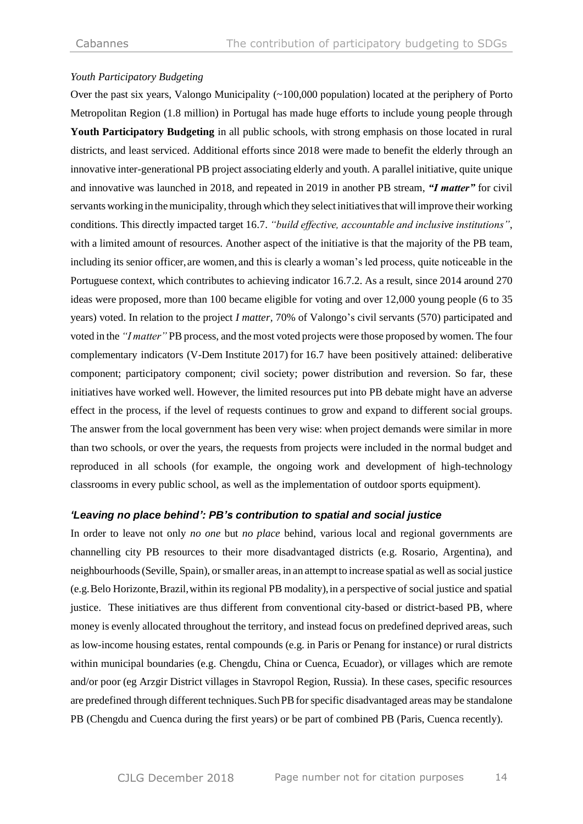#### *Youth Participatory Budgeting*

Over the past six years, Valongo Municipality (~100,000 population) located at the periphery of Porto Metropolitan Region (1.8 million) in Portugal has made huge efforts to include young people through **Youth Participatory Budgeting** in all public schools, with strong emphasis on those located in rural districts, and least serviced. Additional efforts since 2018 were made to benefit the elderly through an innovative inter-generational PB project associating elderly and youth. A parallel initiative, quite unique and innovative was launched in 2018, and repeated in 2019 in another PB stream, *"I matter"* for civil servants working in themunicipality, through which they select initiativesthat will improve their working conditions. This directly impacted target 16.7. *"build effective, accountable and inclusive institutions"*, with a limited amount of resources. Another aspect of the initiative is that the majority of the PB team, including its senior officer,are women, and this is clearly a woman's led process, quite noticeable in the Portuguese context, which contributes to achieving indicator 16.7.2. As a result, since 2014 around 270 ideas were proposed, more than 100 became eligible for voting and over 12,000 young people (6 to 35 years) voted. In relation to the project *I matter,* 70% of Valongo's civil servants (570) participated and voted in the *"I matter"* PB process, and the most voted projects were those proposed by women. The four complementary indicators (V-Dem Institute 2017) for 16.7 have been positively attained: deliberative component; participatory component; civil society; power distribution and reversion. So far, these initiatives have worked well. However, the limited resources put into PB debate might have an adverse effect in the process, if the level of requests continues to grow and expand to different social groups. The answer from the local government has been very wise: when project demands were similar in more than two schools, or over the years, the requests from projects were included in the normal budget and reproduced in all schools (for example, the ongoing work and development of high-technology classrooms in every public school, as well as the implementation of outdoor sports equipment).

#### *'Leaving no place behind': PB's contribution to spatial and social justice*

In order to leave not only *no one* but *no place* behind, various local and regional governments are channelling city PB resources to their more disadvantaged districts (e.g. Rosario, Argentina), and neighbourhoods(Seville, Spain), orsmaller areas, in an attempt to increase spatial as well associal justice (e.g.Belo Horizonte,Brazil,within its regional PB modality),in a perspective of social justice and spatial justice. These initiatives are thus different from conventional city-based or district-based PB, where money is evenly allocated throughout the territory, and instead focus on predefined deprived areas, such as low-income housing estates, rental compounds (e.g. in Paris or Penang for instance) or rural districts within municipal boundaries (e.g. Chengdu, China or Cuenca, Ecuador), or villages which are remote and/or poor (eg Arzgir District villages in Stavropol Region, Russia). In these cases, specific resources are predefined through different techniques. Such PB for specific disadvantaged areas may be standalone PB (Chengdu and Cuenca during the first years) or be part of combined PB (Paris, Cuenca recently).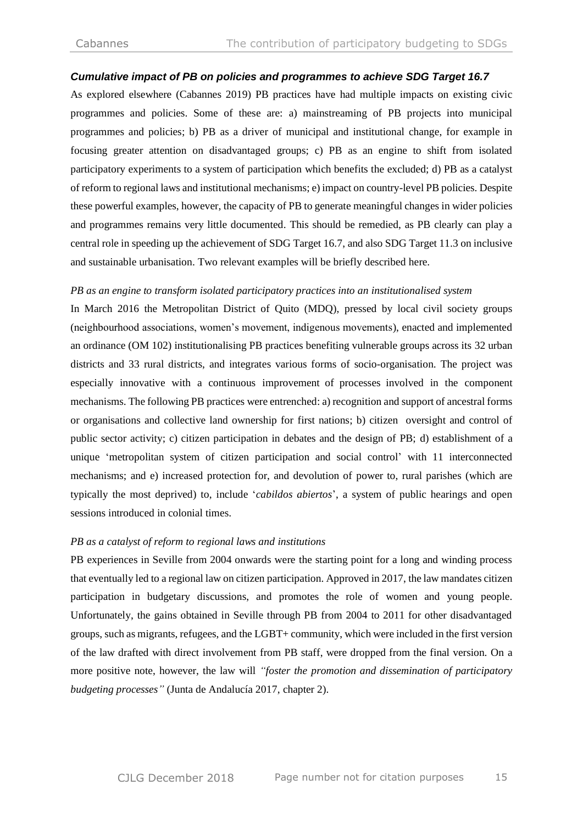#### *Cumulative impact of PB on policies and programmes to achieve SDG Target 16.7*

As explored elsewhere (Cabannes 2019) PB practices have had multiple impacts on existing civic programmes and policies. Some of these are: a) mainstreaming of PB projects into municipal programmes and policies; b) PB as a driver of municipal and institutional change, for example in focusing greater attention on disadvantaged groups; c) PB as an engine to shift from isolated participatory experiments to a system of participation which benefits the excluded; d) PB as a catalyst of reform to regional laws and institutional mechanisms; e) impact on country-level PB policies. Despite these powerful examples, however, the capacity of PB to generate meaningful changes in wider policies and programmes remains very little documented. This should be remedied, as PB clearly can play a central role in speeding up the achievement of SDG Target 16.7, and also SDG Target 11.3 on inclusive and sustainable urbanisation. Two relevant examples will be briefly described here.

#### *PB as an engine to transform isolated participatory practices into an institutionalised system*

In March 2016 the Metropolitan District of Quito (MDQ), pressed by local civil society groups (neighbourhood associations, women's movement, indigenous movements), enacted and implemented an ordinance (OM 102) institutionalising PB practices benefiting vulnerable groups across its 32 urban districts and 33 rural districts, and integrates various forms of socio-organisation. The project was especially innovative with a continuous improvement of processes involved in the component mechanisms. The following PB practices were entrenched: a) recognition and support of ancestral forms or organisations and collective land ownership for first nations; b) citizen oversight and control of public sector activity; c) citizen participation in debates and the design of PB; d) establishment of a unique 'metropolitan system of citizen participation and social control' with 11 interconnected mechanisms; and e) increased protection for, and devolution of power to, rural parishes (which are typically the most deprived) to, include '*cabildos abiertos*', a system of public hearings and open sessions introduced in colonial times.

#### *PB as a catalyst of reform to regional laws and institutions*

PB experiences in Seville from 2004 onwards were the starting point for a long and winding process that eventually led to a regional law on citizen participation. Approved in 2017, the law mandates citizen participation in budgetary discussions, and promotes the role of women and young people. Unfortunately, the gains obtained in Seville through PB from 2004 to 2011 for other disadvantaged groups, such as migrants, refugees, and the LGBT+ community, which were included in the first version of the law drafted with direct involvement from PB staff, were dropped from the final version. On a more positive note, however, the law will *"foster the promotion and dissemination of participatory budgeting processes"* (Junta de Andalucía 2017, chapter 2).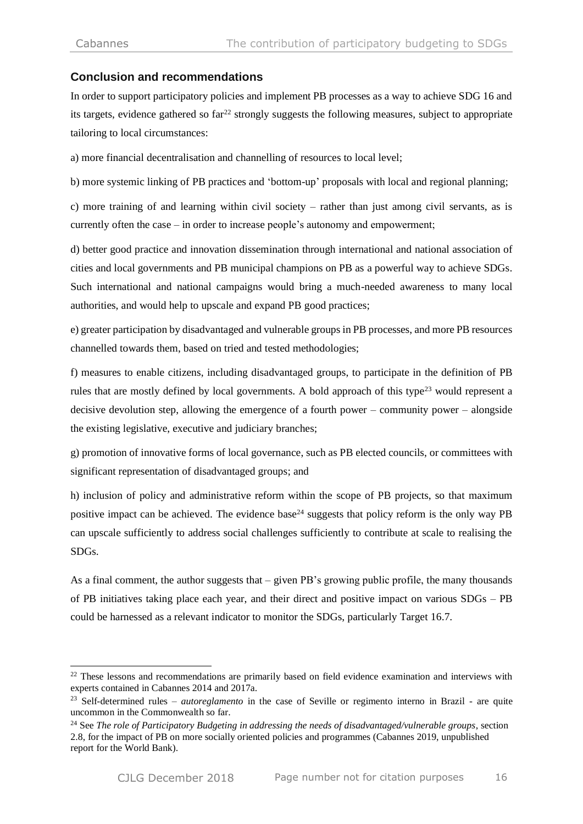-

## **Conclusion and recommendations**

In order to support participatory policies and implement PB processes as a way to achieve SDG 16 and its targets, evidence gathered so  $far^{22}$  strongly suggests the following measures, subject to appropriate tailoring to local circumstances:

a) more financial decentralisation and channelling of resources to local level;

b) more systemic linking of PB practices and 'bottom-up' proposals with local and regional planning;

c) more training of and learning within civil society – rather than just among civil servants, as is currently often the case – in order to increase people's autonomy and empowerment;

d) better good practice and innovation dissemination through international and national association of cities and local governments and PB municipal champions on PB as a powerful way to achieve SDGs. Such international and national campaigns would bring a much-needed awareness to many local authorities, and would help to upscale and expand PB good practices;

e) greater participation by disadvantaged and vulnerable groups in PB processes, and more PB resources channelled towards them, based on tried and tested methodologies;

f) measures to enable citizens, including disadvantaged groups, to participate in the definition of PB rules that are mostly defined by local governments. A bold approach of this type<sup>23</sup> would represent a decisive devolution step, allowing the emergence of a fourth power – community power – alongside the existing legislative, executive and judiciary branches;

g) promotion of innovative forms of local governance, such as PB elected councils, or committees with significant representation of disadvantaged groups; and

h) inclusion of policy and administrative reform within the scope of PB projects, so that maximum positive impact can be achieved. The evidence base<sup>24</sup> suggests that policy reform is the only way PB can upscale sufficiently to address social challenges sufficiently to contribute at scale to realising the SDGs.

As a final comment, the author suggests that – given PB's growing public profile, the many thousands of PB initiatives taking place each year, and their direct and positive impact on various SDGs – PB could be harnessed as a relevant indicator to monitor the SDGs, particularly Target 16.7.

<sup>&</sup>lt;sup>22</sup> These lessons and recommendations are primarily based on field evidence examination and interviews with experts contained in Cabannes 2014 and 2017a.

<sup>&</sup>lt;sup>23</sup> Self-determined rules – *autoreglamento* in the case of Seville or regimento interno in Brazil - are quite uncommon in the Commonwealth so far.

<sup>24</sup> See *The role of Participatory Budgeting in addressing the needs of disadvantaged/vulnerable groups*, section 2.8, for the impact of PB on more socially oriented policies and programmes (Cabannes 2019, unpublished report for the World Bank).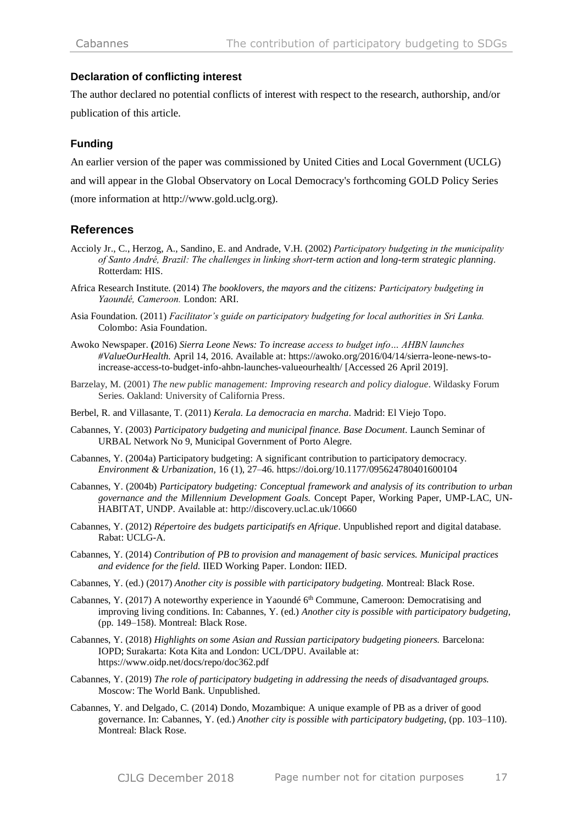## **Declaration of conflicting interest**

The author declared no potential conflicts of interest with respect to the research, authorship, and/or publication of this article.

## **Funding**

An earlier version of the paper was commissioned by United Cities and Local Government (UCLG) and will appear in the Global Observatory on Local Democracy's forthcoming GOLD Policy Series (more information at http://www.gold.uclg.org).

## **References**

- Accioly Jr., C., Herzog, A., Sandino, E. and Andrade, V.H. (2002) *Participatory budgeting in the municipality of Santo André, Brazil: The challenges in linking short-term action and long-term strategic planning*. Rotterdam: HIS.
- Africa Research Institute. (2014) *The booklovers, the mayors and the citizens: Participatory budgeting in Yaoundé, Cameroon.* London: ARI.
- Asia Foundation. (2011) *Facilitator's guide on participatory budgeting for local authorities in Sri Lanka.*  Colombo: Asia Foundation.
- Awoko Newspaper. **(**2016) *Sierra Leone News: To increase access to budget info… AHBN launches #ValueOurHealth.* April 14, 2016. Available at: [https://awoko.org/2016/04/14/sierra-leone-news-to](https://awoko.org/2016/04/14/sierra-leone-news-to-increase-access-to-budget-info-ahbn-launches-valueourhealth/)[increase-access-to-budget-info-ahbn-launches-valueourhealth/](https://awoko.org/2016/04/14/sierra-leone-news-to-increase-access-to-budget-info-ahbn-launches-valueourhealth/) [Accessed 26 April 2019].
- Barzelay, M. (2001) *The new public management: Improving research and policy dialogue*. Wildasky Forum Series. Oakland: University of California Press.
- Berbel, R. and Villasante, T. (2011) *Kerala. La democracia en marcha*. Madrid: El Viejo Topo.
- Cabannes, Y. (2003) *Participatory budgeting and municipal finance. Base Document*. Launch Seminar of URBAL Network No 9, Municipal Government of Porto Alegre.
- Cabannes, Y. (2004a) Participatory budgeting: A significant contribution to participatory democracy. *Environment & Urbanization,* 16 (1), 27–46. https://doi.org/10.1177/095624780401600104
- Cabannes, Y. (2004b) *Participatory budgeting: Conceptual framework and analysis of its contribution to urban governance and the Millennium Development Goals.* Concept Paper, Working Paper, UMP-LAC, UN-HABITAT, UNDP. Available at: http://discovery.ucl.ac.uk/10660
- Cabannes, Y. (2012) *Répertoire des budgets participatifs en Afrique*. Unpublished report and digital database. Rabat: UCLG-A.
- Cabannes, Y. (2014) *Contribution of PB to provision and management of basic services. Municipal practices and evidence for the field.* IIED Working Paper. London: IIED.
- Cabannes, Y. (ed.) (2017) *Another city is possible with participatory budgeting.* Montreal: Black Rose.
- Cabannes, Y. (2017) A noteworthy experience in Yaoundé  $6<sup>th</sup>$  Commune, Cameroon: Democratising and improving living conditions. In: Cabannes, Y. (ed.) *Another city is possible with participatory budgeting,* (pp*.* 149–158). Montreal: Black Rose.
- Cabannes, Y. (2018) *Highlights on some Asian and Russian participatory budgeting pioneers.* Barcelona: IOPD; Surakarta: Kota Kita and London: UCL/DPU. Available at: <https://www.oidp.net/docs/repo/doc362.pdf>
- Cabannes, Y. (2019) *The role of participatory budgeting in addressing the needs of disadvantaged groups.* Moscow: The World Bank. Unpublished.
- Cabannes, Y. and Delgado, C. (2014) Dondo, Mozambique: A unique example of PB as a driver of good governance. In: Cabannes, Y. (ed.) *Another city is possible with participatory budgeting,* (pp. 103–110). Montreal: Black Rose.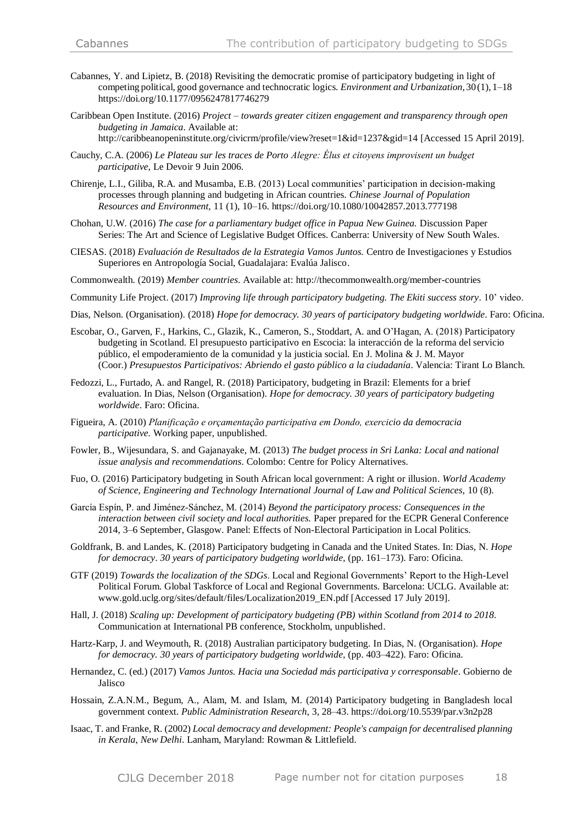- Cabannes, Y. and Lipietz, B. (2018) Revisiting the democratic promise of participatory budgeting in light of competing political, good governance and technocratic logics*. Environment and Urbanization*, 30(1), 1–18 https://doi.org/10.1177/0956247817746279
- Caribbean Open Institute. (2016) *Project – towards greater citizen engagement and transparency through open budgeting in Jamaica*. Available at: <http://caribbeanopeninstitute.org/civicrm/profile/view?reset=1&id=1237&gid=14> [Accessed 15 April 2019].
- Cauchy, C.A. (2006) *Le Plateau sur les traces de Porto Alegre: Élus et citoyens improvisent un budget participative*, Le Devoir 9 Juin 2006.
- Chirenje, L.I., Giliba, R.A. and Musamba, E.B. (2013) Local communities' participation in decision-making processes through planning and budgeting in African countries. *Chinese Journal of Population Resources and Environment,* 11 (1), 10–16. https://doi.org/10.1080/10042857.2013.777198
- Chohan, U.W. (2016) *The case for a parliamentary budget office in Papua New Guinea.* Discussion Paper Series: The Art and Science of Legislative Budget Offices. Canberra: University of New South Wales.
- CIESAS. (2018) *Evaluación de Resultados de la Estrategia Vamos Juntos.* Centro de Investigaciones y Estudios Superiores en Antropología Social, Guadalajara: Evalúa Jalisco.
- Commonwealth. (2019) *Member countries*. Available at: <http://thecommonwealth.org/member-countries>
- Community Life Project. (2017) *Improving life through participatory budgeting. The Ekiti success story*. 10' video.
- Dias, Nelson. (Organisation). (2018) *Hope for democracy. 30 years of participatory budgeting worldwide*. Faro: Oficina.
- Escobar, O., Garven, F., Harkins, C., Glazik, K., Cameron, S., Stoddart, A. and O'Hagan, A. (2018) Participatory budgeting in Scotland. El presupuesto participativo en Escocia: la interacción de la reforma del servicio público, el empoderamiento de la comunidad y la justicia social. En J. Molina & J. M. Mayor (Coor.) *Presupuestos Participativos: Abriendo el gasto público a la ciudadanía*. Valencia: Tirant Lo Blanch.
- Fedozzi, L., Furtado, A. and Rangel, R. (2018) Participatory, budgeting in Brazil: Elements for a brief evaluation. In Dias, Nelson (Organisation). *Hope for democracy. 30 years of participatory budgeting worldwide*. Faro: Oficina.
- Figueira, A. (2010) *Planificação e orçamentação participativa em Dondo, exercicio da democracia participative.* Working paper, unpublished.
- Fowler, B., Wijesundara, S. and Gajanayake, M. (2013) *The budget process in Sri Lanka: Local and national issue analysis and recommendations*. Colombo: Centre for Policy Alternatives.
- Fuo, O. (2016) Participatory budgeting in South African local government: A right or illusion. *World Academy of Science, Engineering and Technology International Journal of Law and Political Sciences,* 10 (8).
- García Espín, P. and Jiménez-Sánchez, M. (2014) *Beyond the participatory process: Consequences in the interaction between civil society and local authorities.* Paper prepared for the ECPR General Conference 2014, 3–6 September, Glasgow. Panel: Effects of Non-Electoral Participation in Local Politics.
- Goldfrank, B. and Landes, K. (2018) Participatory budgeting in Canada and the United States. In: Dias, N. *Hope for democracy*. *30 years of participatory budgeting worldwide,* (pp. 161–173). Faro: Oficina.
- GTF (2019) *Towards the localization of the SDGs*. Local and Regional Governments' Report to the High-Level Political Forum. Global Taskforce of Local and Regional Governments. Barcelona: UCLG. Available at: www.gold.uclg.org/sites/default/files/Localization2019\_EN.pdf [Accessed 17 July 2019].
- Hall, J. (2018) *Scaling up: Development of participatory budgeting (PB) within Scotland from 2014 to 2018.* Communication at International PB conference, Stockholm, unpublished.
- Hartz-Karp, J. and Weymouth, R. (2018) Australian participatory budgeting. In Dias, N. (Organisation). *Hope for democracy. 30 years of participatory budgeting worldwide,* (pp. 403–422). Faro: Oficina.
- Hernandez, C. (ed.) (2017) *Vamos Juntos. Hacia una Sociedad más participativa y corresponsable*. Gobierno de Jalisco
- Hossain, Z.A.N.M., Begum, A., Alam, M. and Islam, M. (2014) Participatory budgeting in Bangladesh local government context. *Public Administration Research*, 3, 28–43. https://doi.org/10.5539/par.v3n2p28
- Isaac, T. and Franke, R. (2002) *Local democracy and development: People's campaign for decentralised planning in Kerala, New Delhi*. Lanham, Maryland: Rowman & Littlefield.